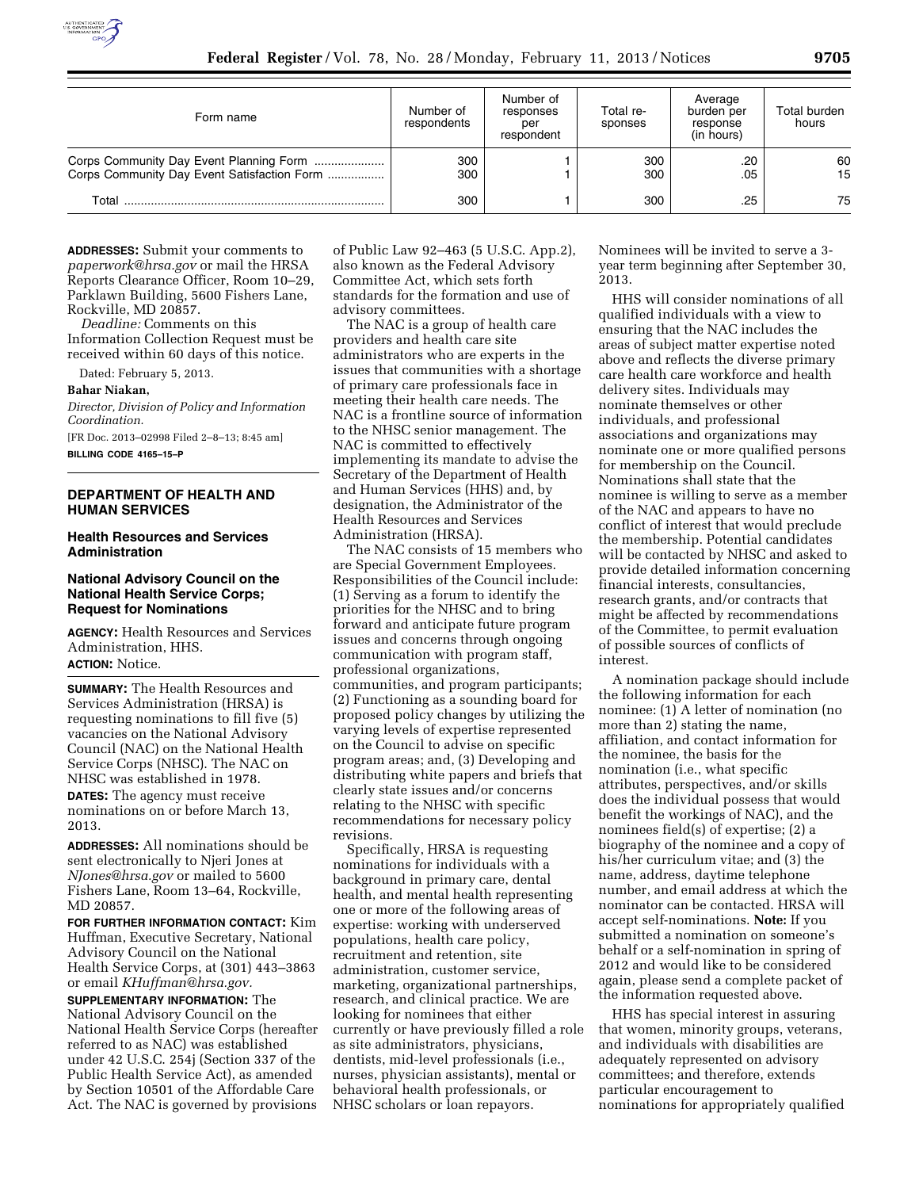

| Form name                                                                              | Number of<br>respondents | Number of<br>responses<br>per<br>respondent | Total re-<br>sponses | Average<br>burden per<br>response<br>(in hours) | Total burden<br>hours |
|----------------------------------------------------------------------------------------|--------------------------|---------------------------------------------|----------------------|-------------------------------------------------|-----------------------|
| Corps Community Day Event Planning Form<br>Corps Community Day Event Satisfaction Form | 300<br>300               |                                             | 300<br>300           | .20<br>.05                                      | 60<br>15              |
| Total                                                                                  | 300                      |                                             | 300                  | .25                                             | 75                    |

**ADDRESSES:** Submit your comments to *[paperwork@hrsa.gov](mailto:paperwork@hrsa.gov)* or mail the HRSA Reports Clearance Officer, Room 10–29, Parklawn Building, 5600 Fishers Lane, Rockville, MD 20857.

*Deadline:* Comments on this Information Collection Request must be received within 60 days of this notice.

Dated: February 5, 2013.

**Bahar Niakan,** 

*Director, Division of Policy and Information Coordination.*  [FR Doc. 2013–02998 Filed 2–8–13; 8:45 am]

**BILLING CODE 4165–15–P** 

# **DEPARTMENT OF HEALTH AND HUMAN SERVICES**

## **Health Resources and Services Administration**

### **National Advisory Council on the National Health Service Corps; Request for Nominations**

**AGENCY:** Health Resources and Services Administration, HHS. **ACTION:** Notice.

**SUMMARY:** The Health Resources and Services Administration (HRSA) is requesting nominations to fill five (5) vacancies on the National Advisory Council (NAC) on the National Health Service Corps (NHSC). The NAC on NHSC was established in 1978. **DATES:** The agency must receive nominations on or before March 13, 2013.

**ADDRESSES:** All nominations should be sent electronically to Njeri Jones at *[NJones@hrsa.gov](mailto:NJones@hrsa.gov)* or mailed to 5600 Fishers Lane, Room 13–64, Rockville, MD 20857.

**FOR FURTHER INFORMATION CONTACT:** Kim Huffman, Executive Secretary, National Advisory Council on the National Health Service Corps, at (301) 443–3863 or email *[KHuffman@hrsa.gov.](mailto:KHuffman@hrsa.gov)* 

**SUPPLEMENTARY INFORMATION:** The National Advisory Council on the National Health Service Corps (hereafter referred to as NAC) was established under 42 U.S.C. 254j (Section 337 of the Public Health Service Act), as amended by Section 10501 of the Affordable Care Act. The NAC is governed by provisions

of Public Law 92–463 (5 U.S.C. App.2), also known as the Federal Advisory Committee Act, which sets forth standards for the formation and use of advisory committees.

The NAC is a group of health care providers and health care site administrators who are experts in the issues that communities with a shortage of primary care professionals face in meeting their health care needs. The NAC is a frontline source of information to the NHSC senior management. The NAC is committed to effectively implementing its mandate to advise the Secretary of the Department of Health and Human Services (HHS) and, by designation, the Administrator of the Health Resources and Services Administration (HRSA).

The NAC consists of 15 members who are Special Government Employees. Responsibilities of the Council include: (1) Serving as a forum to identify the priorities for the NHSC and to bring forward and anticipate future program issues and concerns through ongoing communication with program staff, professional organizations, communities, and program participants; (2) Functioning as a sounding board for proposed policy changes by utilizing the varying levels of expertise represented on the Council to advise on specific program areas; and, (3) Developing and distributing white papers and briefs that clearly state issues and/or concerns relating to the NHSC with specific recommendations for necessary policy revisions.

Specifically, HRSA is requesting nominations for individuals with a background in primary care, dental health, and mental health representing one or more of the following areas of expertise: working with underserved populations, health care policy, recruitment and retention, site administration, customer service, marketing, organizational partnerships, research, and clinical practice. We are looking for nominees that either currently or have previously filled a role as site administrators, physicians, dentists, mid-level professionals (i.e., nurses, physician assistants), mental or behavioral health professionals, or NHSC scholars or loan repayors.

Nominees will be invited to serve a 3 year term beginning after September 30, 2013.

HHS will consider nominations of all qualified individuals with a view to ensuring that the NAC includes the areas of subject matter expertise noted above and reflects the diverse primary care health care workforce and health delivery sites. Individuals may nominate themselves or other individuals, and professional associations and organizations may nominate one or more qualified persons for membership on the Council. Nominations shall state that the nominee is willing to serve as a member of the NAC and appears to have no conflict of interest that would preclude the membership. Potential candidates will be contacted by NHSC and asked to provide detailed information concerning financial interests, consultancies, research grants, and/or contracts that might be affected by recommendations of the Committee, to permit evaluation of possible sources of conflicts of interest.

A nomination package should include the following information for each nominee: (1) A letter of nomination (no more than 2) stating the name, affiliation, and contact information for the nominee, the basis for the nomination (i.e., what specific attributes, perspectives, and/or skills does the individual possess that would benefit the workings of NAC), and the nominees field(s) of expertise; (2) a biography of the nominee and a copy of his/her curriculum vitae; and (3) the name, address, daytime telephone number, and email address at which the nominator can be contacted. HRSA will accept self-nominations. **Note:** If you submitted a nomination on someone's behalf or a self-nomination in spring of 2012 and would like to be considered again, please send a complete packet of the information requested above.

HHS has special interest in assuring that women, minority groups, veterans, and individuals with disabilities are adequately represented on advisory committees; and therefore, extends particular encouragement to nominations for appropriately qualified